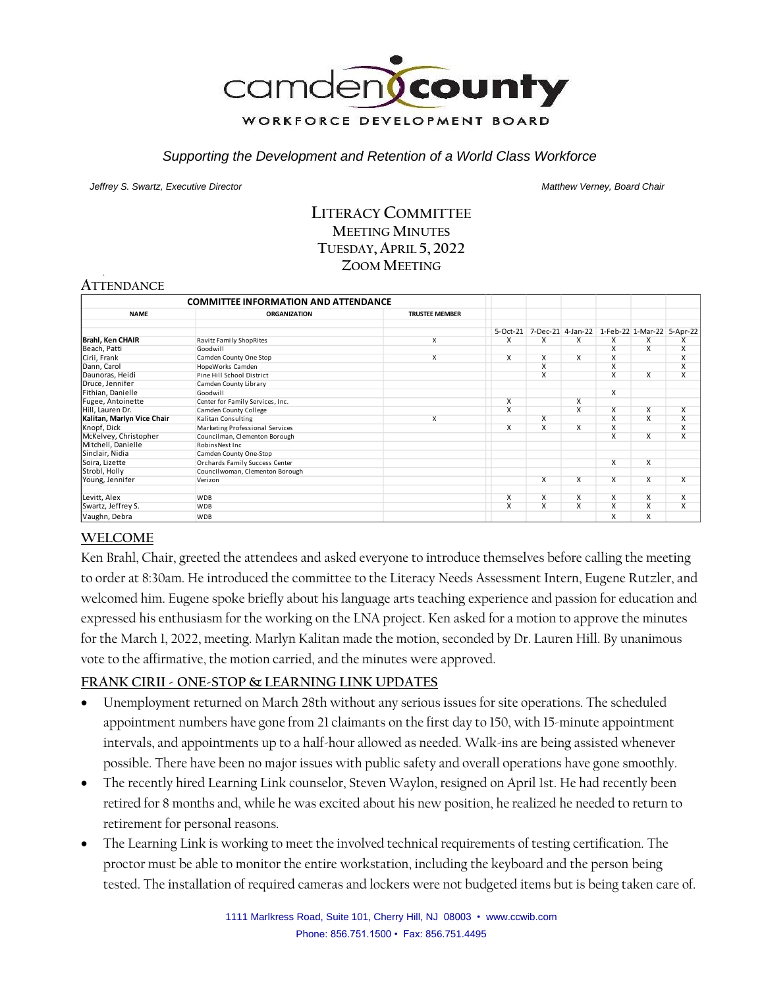

#### *Supporting the Development and Retention of a World Class Workforce*

*Jeffrey S. Swartz, Executive Director Matthew Verney, Board Chair* 

## **LITERACY COMMITTEE MEETING MINUTES TUESDAY, APRIL 5, 2022 ZOOM MEETING**

# **ATTENDANCE**

| <b>COMMITTEE INFORMATION AND ATTENDANCE</b> |                                  |                         |                         |                         |                         |                                              |                         |                         |
|---------------------------------------------|----------------------------------|-------------------------|-------------------------|-------------------------|-------------------------|----------------------------------------------|-------------------------|-------------------------|
| <b>NAME</b>                                 | <b>ORGANIZATION</b>              | <b>TRUSTEE MEMBER</b>   |                         |                         |                         |                                              |                         |                         |
|                                             |                                  |                         | $5-Oct-21$              |                         |                         | 7-Dec-21 4-Jan-22 1-Feb-22 1-Mar-22 5-Apr-22 |                         |                         |
| <b>Brahl, Ken CHAIR</b>                     | Ravitz Family ShopRites          | X                       | X                       | X                       | X                       | x                                            | X                       | x                       |
| Beach, Patti                                | Goodwill                         |                         |                         |                         |                         | Χ                                            | X                       | X                       |
| Cirii, Frank                                | Camden County One Stop           | $\overline{\mathsf{x}}$ | $\overline{\mathsf{x}}$ | $\overline{\mathsf{x}}$ | $\overline{\mathsf{x}}$ | X                                            |                         | X                       |
| Dann, Carol                                 | HopeWorks Camden                 |                         |                         | $\overline{\mathsf{x}}$ |                         | X                                            |                         | $\overline{\mathsf{x}}$ |
| Daunoras, Heidi                             | Pine Hill School District        |                         |                         | X                       |                         | X                                            | X                       | $\overline{\mathsf{x}}$ |
| Druce, Jennifer                             | Camden County Library            |                         |                         |                         |                         |                                              |                         |                         |
| Fithian, Danielle                           | Goodwill                         |                         |                         |                         |                         | X                                            |                         |                         |
| Fugee, Antoinette                           | Center for Family Services, Inc. |                         | x                       |                         | x                       |                                              |                         |                         |
| Hill, Lauren Dr.                            | Camden County College            |                         | X                       |                         | X                       | x                                            | X                       | $\overline{\mathsf{x}}$ |
| Kalitan, Marlyn Vice Chair                  | Kalitan Consulting               | X                       |                         | X                       |                         | X                                            | $\overline{\mathsf{x}}$ | $\overline{\mathsf{x}}$ |
| Knopf, Dick                                 | Marketing Professional Services  |                         | X                       | X                       | x                       | X                                            |                         | $\overline{\mathsf{x}}$ |
| McKelvey, Christopher                       | Councilman, Clementon Borough    |                         |                         |                         |                         | X                                            | X                       | $\overline{\mathsf{x}}$ |
| Mitchell, Danielle                          | Robins Nest Inc                  |                         |                         |                         |                         |                                              |                         |                         |
| Sinclair, Nidia                             | Camden County One-Stop           |                         |                         |                         |                         |                                              |                         |                         |
| Soira, Lizette                              | Orchards Family Success Center   |                         |                         |                         |                         | X                                            | X                       |                         |
| Strobl, Holly                               | Councilwoman, Clementon Borough  |                         |                         |                         |                         |                                              |                         |                         |
| Young, Jennifer                             | Verizon                          |                         |                         | X                       | x                       | X                                            | X                       | X                       |
| Levitt, Alex                                | <b>WDB</b>                       |                         | X                       | X                       | X                       | x                                            | $\overline{\mathsf{x}}$ | X                       |
| Swartz, Jeffrey S.                          | <b>WDB</b>                       |                         | x                       | X                       | X                       | x                                            | X                       | X                       |
| Vaughn, Debra                               | <b>WDB</b>                       |                         |                         |                         |                         | x                                            | X                       |                         |

### **WELCOME**

Ken Brahl, Chair, greeted the attendees and asked everyone to introduce themselves before calling the meeting to order at 8:30am. He introduced the committee to the Literacy Needs Assessment Intern, Eugene Rutzler, and welcomed him. Eugene spoke briefly about his language arts teaching experience and passion for education and expressed his enthusiasm for the working on the LNA project. Ken asked for a motion to approve the minutes for the March 1, 2022, meeting. Marlyn Kalitan made the motion, seconded by Dr. Lauren Hill. By unanimous vote to the affirmative, the motion carried, and the minutes were approved.

### **FRANK CIRII - ONE-STOP & LEARNING LINK UPDATES**

- Unemployment returned on March 28th without any serious issues for site operations. The scheduled appointment numbers have gone from 21 claimants on the first day to 150, with 15-minute appointment intervals, and appointments up to a half-hour allowed as needed. Walk-ins are being assisted whenever possible. There have been no major issues with public safety and overall operations have gone smoothly.
- The recently hired Learning Link counselor, Steven Waylon, resigned on April 1st. He had recently been retired for 8 months and, while he was excited about his new position, he realized he needed to return to retirement for personal reasons.
- The Learning Link is working to meet the involved technical requirements of testing certification. The proctor must be able to monitor the entire workstation, including the keyboard and the person being tested. The installation of required cameras and lockers were not budgeted items but is being taken care of.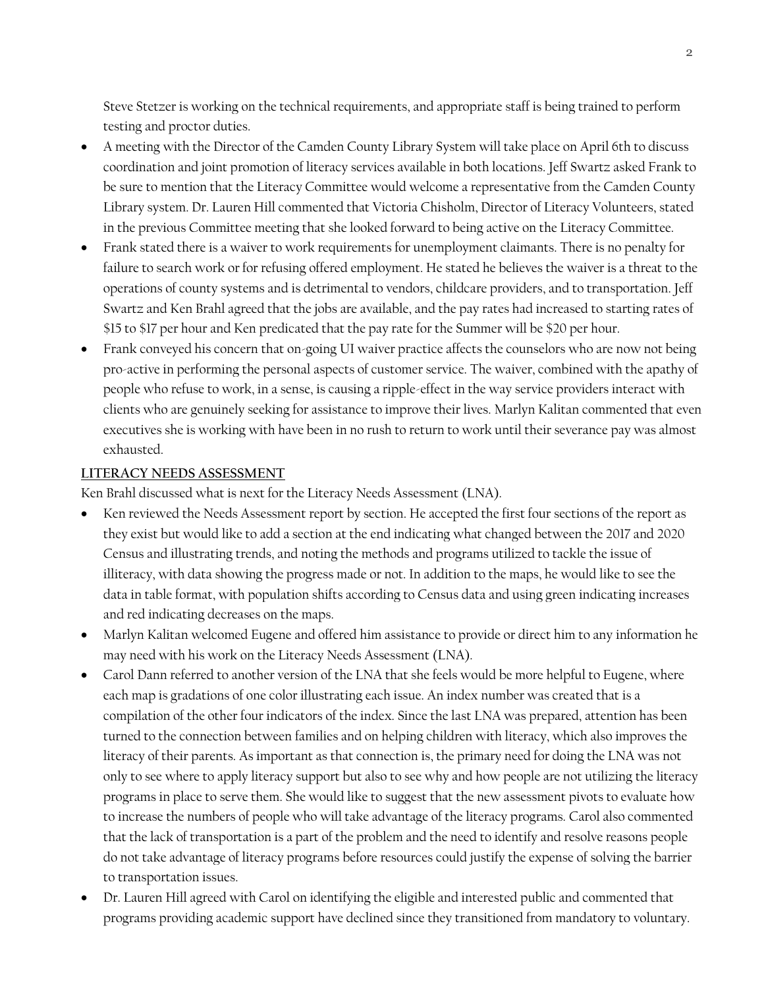Steve Stetzer is working on the technical requirements, and appropriate staff is being trained to perform testing and proctor duties.

- A meeting with the Director of the Camden County Library System will take place on April 6th to discuss coordination and joint promotion of literacy services available in both locations. Jeff Swartz asked Frank to be sure to mention that the Literacy Committee would welcome a representative from the Camden County Library system. Dr. Lauren Hill commented that Victoria Chisholm, Director of Literacy Volunteers, stated in the previous Committee meeting that she looked forward to being active on the Literacy Committee.
- Frank stated there is a waiver to work requirements for unemployment claimants. There is no penalty for failure to search work or for refusing offered employment. He stated he believes the waiver is a threat to the operations of county systems and is detrimental to vendors, childcare providers, and to transportation. Jeff Swartz and Ken Brahl agreed that the jobs are available, and the pay rates had increased to starting rates of \$15 to \$17 per hour and Ken predicated that the pay rate for the Summer will be \$20 per hour.
- Frank conveyed his concern that on-going UI waiver practice affects the counselors who are now not being pro-active in performing the personal aspects of customer service. The waiver, combined with the apathy of people who refuse to work, in a sense, is causing a ripple-effect in the way service providers interact with clients who are genuinely seeking for assistance to improve their lives. Marlyn Kalitan commented that even executives she is working with have been in no rush to return to work until their severance pay was almost exhausted.

### **LITERACY NEEDS ASSESSMENT**

Ken Brahl discussed what is next for the Literacy Needs Assessment (LNA).

- Ken reviewed the Needs Assessment report by section. He accepted the first four sections of the report as they exist but would like to add a section at the end indicating what changed between the 2017 and 2020 Census and illustrating trends, and noting the methods and programs utilized to tackle the issue of illiteracy, with data showing the progress made or not. In addition to the maps, he would like to see the data in table format, with population shifts according to Census data and using green indicating increases and red indicating decreases on the maps.
- Marlyn Kalitan welcomed Eugene and offered him assistance to provide or direct him to any information he may need with his work on the Literacy Needs Assessment (LNA).
- Carol Dann referred to another version of the LNA that she feels would be more helpful to Eugene, where each map is gradations of one color illustrating each issue. An index number was created that is a compilation of the other four indicators of the index. Since the last LNA was prepared, attention has been turned to the connection between families and on helping children with literacy, which also improves the literacy of their parents. As important as that connection is, the primary need for doing the LNA was not only to see where to apply literacy support but also to see why and how people are not utilizing the literacy programs in place to serve them. She would like to suggest that the new assessment pivots to evaluate how to increase the numbers of people who will take advantage of the literacy programs. Carol also commented that the lack of transportation is a part of the problem and the need to identify and resolve reasons people do not take advantage of literacy programs before resources could justify the expense of solving the barrier to transportation issues.
- Dr. Lauren Hill agreed with Carol on identifying the eligible and interested public and commented that programs providing academic support have declined since they transitioned from mandatory to voluntary.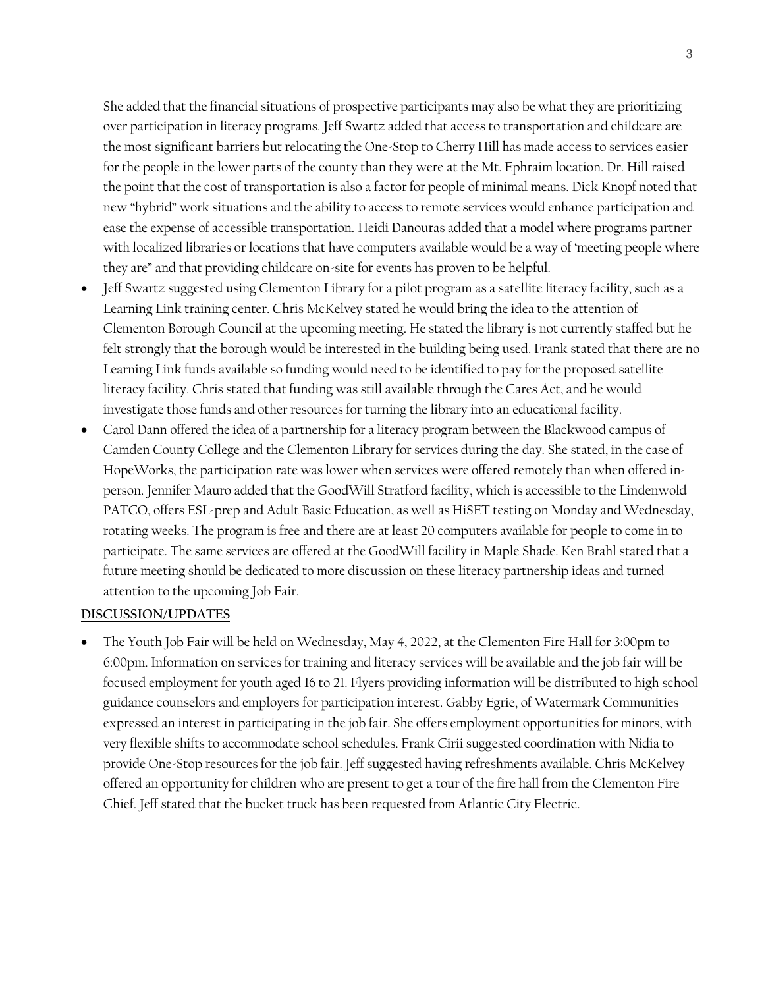She added that the financial situations of prospective participants may also be what they are prioritizing over participation in literacy programs. Jeff Swartz added that access to transportation and childcare are the most significant barriers but relocating the One-Stop to Cherry Hill has made access to services easier for the people in the lower parts of the county than they were at the Mt. Ephraim location. Dr. Hill raised the point that the cost of transportation is also a factor for people of minimal means. Dick Knopf noted that new "hybrid" work situations and the ability to access to remote services would enhance participation and ease the expense of accessible transportation. Heidi Danouras added that a model where programs partner with localized libraries or locations that have computers available would be a way of 'meeting people where they are" and that providing childcare on-site for events has proven to be helpful.

- Jeff Swartz suggested using Clementon Library for a pilot program as a satellite literacy facility, such as a Learning Link training center. Chris McKelvey stated he would bring the idea to the attention of Clementon Borough Council at the upcoming meeting. He stated the library is not currently staffed but he felt strongly that the borough would be interested in the building being used. Frank stated that there are no Learning Link funds available so funding would need to be identified to pay for the proposed satellite literacy facility. Chris stated that funding was still available through the Cares Act, and he would investigate those funds and other resources for turning the library into an educational facility.
- Carol Dann offered the idea of a partnership for a literacy program between the Blackwood campus of Camden County College and the Clementon Library for services during the day. She stated, in the case of HopeWorks, the participation rate was lower when services were offered remotely than when offered inperson. Jennifer Mauro added that the GoodWill Stratford facility, which is accessible to the Lindenwold PATCO, offers ESL-prep and Adult Basic Education, as well as HiSET testing on Monday and Wednesday, rotating weeks. The program is free and there are at least 20 computers available for people to come in to participate. The same services are offered at the GoodWill facility in Maple Shade. Ken Brahl stated that a future meeting should be dedicated to more discussion on these literacy partnership ideas and turned attention to the upcoming Job Fair.

#### **DISCUSSION/UPDATES**

• The Youth Job Fair will be held on Wednesday, May 4, 2022, at the Clementon Fire Hall for 3:00pm to 6:00pm. Information on services for training and literacy services will be available and the job fair will be focused employment for youth aged 16 to 21. Flyers providing information will be distributed to high school guidance counselors and employers for participation interest. Gabby Egrie, of Watermark Communities expressed an interest in participating in the job fair. She offers employment opportunities for minors, with very flexible shifts to accommodate school schedules. Frank Cirii suggested coordination with Nidia to provide One-Stop resources for the job fair. Jeff suggested having refreshments available. Chris McKelvey offered an opportunity for children who are present to get a tour of the fire hall from the Clementon Fire Chief. Jeff stated that the bucket truck has been requested from Atlantic City Electric.